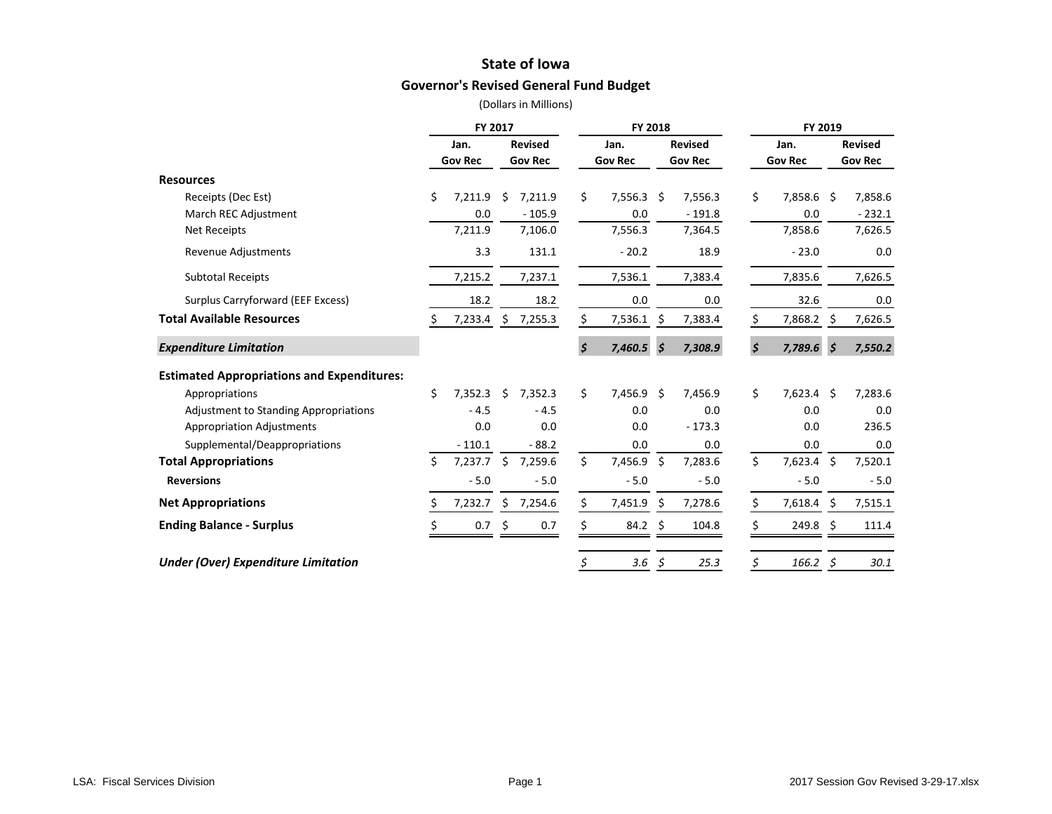## **State of Iowa**

## **Governor's Revised General Fund Budget**

|                                                   |    | FY 2017        |    |                |    | <b>FY 2018</b> |                     |                |                    | FY 2019        |                           |                |
|---------------------------------------------------|----|----------------|----|----------------|----|----------------|---------------------|----------------|--------------------|----------------|---------------------------|----------------|
|                                                   |    | Jan.           |    | <b>Revised</b> |    | Jan.           |                     | <b>Revised</b> |                    | Jan.           |                           | <b>Revised</b> |
|                                                   |    | <b>Gov Rec</b> |    | <b>Gov Rec</b> |    | <b>Gov Rec</b> |                     | <b>Gov Rec</b> |                    | <b>Gov Rec</b> |                           | <b>Gov Rec</b> |
| <b>Resources</b>                                  |    |                |    |                |    |                |                     |                |                    |                |                           |                |
| Receipts (Dec Est)                                | Ś. | 7,211.9        | Ś. | 7,211.9        | Ś. | 7,556.3        | Ŝ.                  | 7,556.3        | \$                 | 7,858.6 \$     |                           | 7,858.6        |
| March REC Adjustment                              |    | 0.0            |    | $-105.9$       |    | 0.0            |                     | $-191.8$       |                    | 0.0            |                           | $-232.1$       |
| <b>Net Receipts</b>                               |    | 7,211.9        |    | 7,106.0        |    | 7,556.3        |                     | 7,364.5        |                    | 7,858.6        |                           | 7,626.5        |
| <b>Revenue Adjustments</b>                        |    | 3.3            |    | 131.1          |    | $-20.2$        |                     | 18.9           |                    | $-23.0$        |                           | 0.0            |
| <b>Subtotal Receipts</b>                          |    | 7,215.2        |    | 7,237.1        |    | 7,536.1        |                     | 7,383.4        |                    | 7,835.6        |                           | 7,626.5        |
| Surplus Carryforward (EEF Excess)                 |    | 18.2           |    | 18.2           |    | 0.0            |                     | 0.0            |                    | 32.6           |                           | 0.0            |
| <b>Total Available Resources</b>                  |    | 7,233.4        |    | \$7,255.3      | \$ | 7,536.1        | \$                  | 7,383.4        | \$                 | 7,868.2 \$     |                           | 7,626.5        |
| <b>Expenditure Limitation</b>                     |    |                |    |                | \$ | 7,460.5        | $\mathsf{\dot{S}}$  | 7,308.9        | $\mathsf{\hat{S}}$ | 7,789.6        | $\boldsymbol{\mathsf{S}}$ | 7,550.2        |
| <b>Estimated Appropriations and Expenditures:</b> |    |                |    |                |    |                |                     |                |                    |                |                           |                |
| Appropriations                                    | Ś. | 7,352.3        | Ś. | 7,352.3        | \$ | 7,456.9 \$     |                     | 7,456.9        | \$                 | $7,623.4$ \$   |                           | 7,283.6        |
| <b>Adjustment to Standing Appropriations</b>      |    | $-4.5$         |    | $-4.5$         |    | 0.0            |                     | 0.0            |                    | 0.0            |                           | 0.0            |
| <b>Appropriation Adjustments</b>                  |    | 0.0            |    | 0.0            |    | 0.0            |                     | $-173.3$       |                    | 0.0            |                           | 236.5          |
| Supplemental/Deappropriations                     |    | $-110.1$       |    | $-88.2$        |    | 0.0            |                     | 0.0            |                    | 0.0            |                           | 0.0            |
| <b>Total Appropriations</b>                       | Ś. | 7,237.7        | \$ | 7,259.6        | \$ | 7,456.9        | $\ddot{\mathsf{S}}$ | 7,283.6        | \$                 | 7,623.4 \$     |                           | 7,520.1        |
| <b>Reversions</b>                                 |    | $-5.0$         |    | $-5.0$         |    | $-5.0$         |                     | $-5.0$         |                    | $-5.0$         |                           | $-5.0$         |
| <b>Net Appropriations</b>                         | S  | 7,232.7        | \$ | 7,254.6        | Ś. | 7,451.9        | -\$                 | 7,278.6        | \$                 | 7,618.4 \$     |                           | 7,515.1        |
| <b>Ending Balance - Surplus</b>                   |    | 0.7            | \$ | 0.7            | \$ | $84.2 \div$    |                     | 104.8          |                    | $249.8 \;$ \$  |                           | 111.4          |
| <b>Under (Over) Expenditure Limitation</b>        |    |                |    |                | Ş  | 3.6            | -\$                 | 25.3           | \$                 | 166.2          | Ş                         | 30.1           |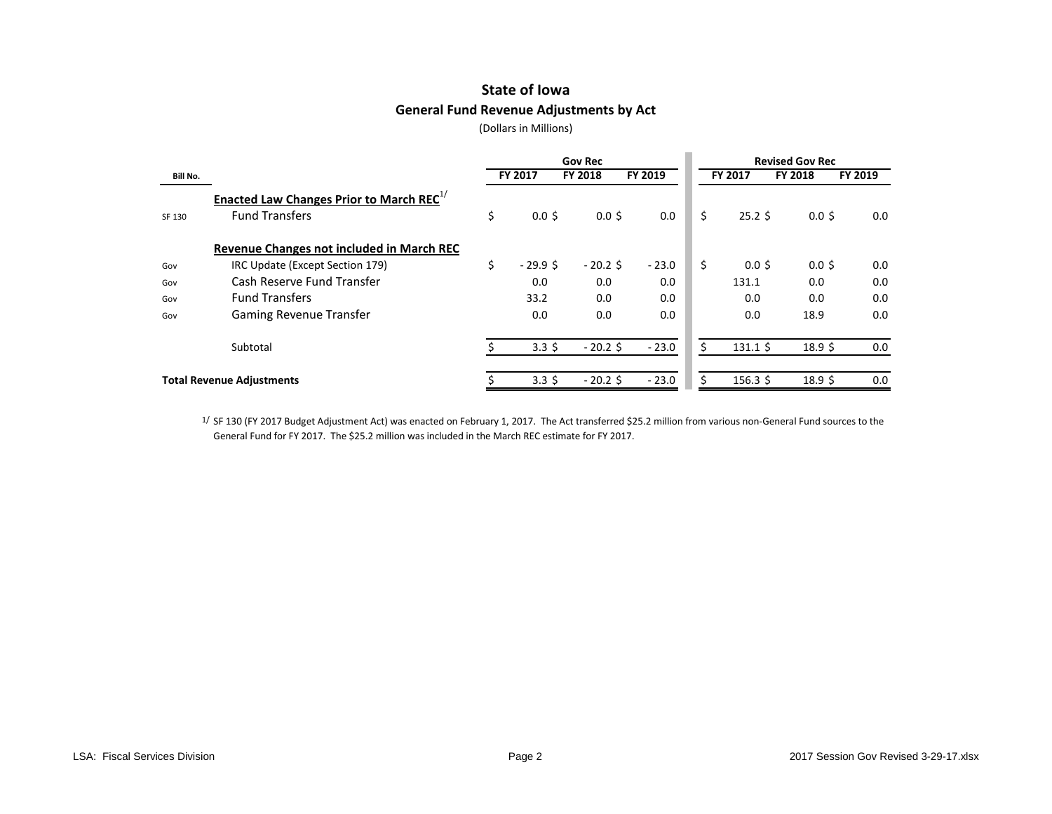# **State of Iowa General Fund Revenue Adjustments by Act**

(Dollars in Millions)

|                 |                                                                                      |    |                  | <b>Gov Rec</b> |         | <b>Revised Gov Rec</b> |                  |                   |         |  |  |  |
|-----------------|--------------------------------------------------------------------------------------|----|------------------|----------------|---------|------------------------|------------------|-------------------|---------|--|--|--|
| <b>Bill No.</b> |                                                                                      |    | FY 2017          | <b>FY 2018</b> | FY 2019 |                        | FY 2017          | FY 2018           | FY 2019 |  |  |  |
| SF 130          | <b>Enacted Law Changes Prior to March REC</b> <sup>1/</sup><br><b>Fund Transfers</b> | \$ | $0.0$ \$         | 0.05           | 0.0     | Ś.                     | $25.2$ \$        | $0.0$ \$          | 0.0     |  |  |  |
|                 | Revenue Changes not included in March REC                                            |    |                  |                |         |                        |                  |                   |         |  |  |  |
| Gov             | IRC Update (Except Section 179)                                                      | Ś. | $-29.9$ \$       | $-20.2$ \$     | $-23.0$ | Ś.                     | $0.0$ \$         | $0.0$ \$          | 0.0     |  |  |  |
| Gov             | Cash Reserve Fund Transfer                                                           |    | 0.0              | 0.0            | 0.0     |                        | 131.1            | 0.0               | 0.0     |  |  |  |
| Gov             | <b>Fund Transfers</b>                                                                |    | 33.2             | 0.0            | 0.0     |                        | 0.0              | 0.0               | 0.0     |  |  |  |
| Gov             | <b>Gaming Revenue Transfer</b>                                                       |    | 0.0              | 0.0            | 0.0     |                        | 0.0              | 18.9              | 0.0     |  |  |  |
|                 | Subtotal                                                                             |    | $3.3\;$ \$       | $-20.2$ \$     | $-23.0$ |                        | $131.1 \text{ }$ | 18.9 <sup>5</sup> | 0.0     |  |  |  |
|                 | <b>Total Revenue Adjustments</b>                                                     |    | 3.3 <sup>5</sup> | $-20.2$ \$     | $-23.0$ |                        | $156.3 \text{ }$ | 18.9 <sup>5</sup> | 0.0     |  |  |  |

1/ SF 130 (FY 2017 Budget Adjustment Act) was enacted on February 1, 2017. The Act transferred \$25.2 million from various non-General Fund sources to the General Fund for FY 2017. The \$25.2 million was included in the March REC estimate for FY 2017.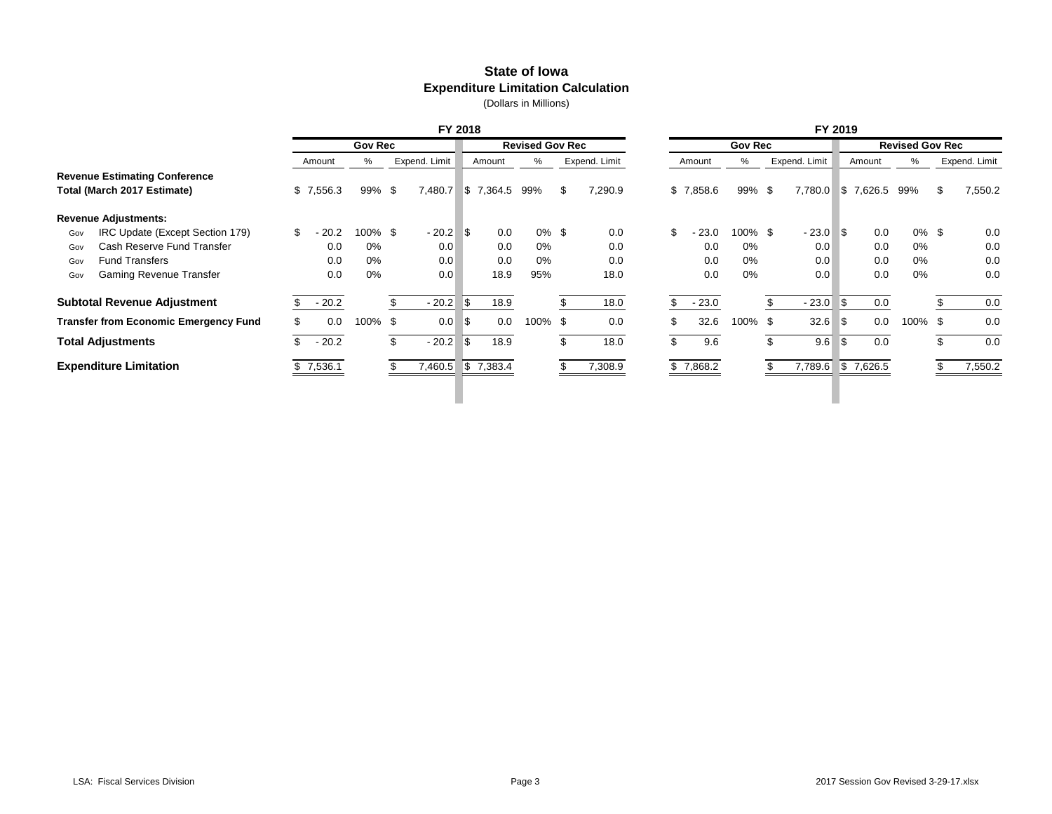# **State of Iowa Expenditure Limitation Calculation**

|                                              | FY 2018        |                |    |               |     |           |                        |    |               |     | FY 2019   |                |     |               |      |               |                        |   |               |
|----------------------------------------------|----------------|----------------|----|---------------|-----|-----------|------------------------|----|---------------|-----|-----------|----------------|-----|---------------|------|---------------|------------------------|---|---------------|
|                                              |                | <b>Gov Rec</b> |    |               |     |           | <b>Revised Gov Rec</b> |    |               |     |           | <b>Gov Rec</b> |     |               |      |               | <b>Revised Gov Rec</b> |   |               |
|                                              | Amount         | %              |    | Expend. Limit |     | Amount    | %                      |    | Expend. Limit |     | Amount    | %              |     | Expend. Limit |      | Amount        | %                      |   | Expend. Limit |
| <b>Revenue Estimating Conference</b>         |                |                |    |               |     |           |                        |    |               |     |           |                |     |               |      |               |                        |   |               |
| Total (March 2017 Estimate)                  | \$7,556.3      | 99% \$         |    | 7,480.7       |     | \$7,364.5 | 99%                    | -S | 7,290.9       |     | \$7,858.6 | 99%\$          |     | 7,780.0       |      | \$7,626.5 99% |                        | S | 7,550.2       |
| <b>Revenue Adjustments:</b>                  |                |                |    |               |     |           |                        |    |               |     |           |                |     |               |      |               |                        |   |               |
| IRC Update (Except Section 179)<br>Gov       | \$.<br>- 20.2  | 100% \$        |    | $-20.2$       | l\$ | 0.0       | $0\%$ \$               |    | 0.0           | \$  | $-23.0$   | 100% \$        |     | $-23.0$       | ∣\$  | 0.0           | $0\%$ \$               |   | 0.0           |
| Cash Reserve Fund Transfer<br>Gov            | 0.0            | 0%             |    | 0.0           |     | 0.0       | 0%                     |    | 0.0           |     | 0.0       | 0%             |     | 0.0           |      | 0.0           | 0%                     |   | 0.0           |
| <b>Fund Transfers</b><br>Gov                 | 0.0            | 0%             |    | 0.0           |     | 0.0       | 0%                     |    | 0.0           |     | 0.0       | 0%             |     | 0.0           |      | 0.0           | 0%                     |   | 0.0           |
| Gaming Revenue Transfer<br>Gov               | 0.0            | 0%             |    | 0.0           |     | 18.9      | 95%                    |    | 18.0          |     | 0.0       | 0%             |     | 0.0           |      | 0.0           | 0%                     |   | 0.0           |
| <b>Subtotal Revenue Adjustment</b>           | $-20.2$        |                |    | $-20.2$       | 5   | 18.9      |                        |    | 18.0          | \$. | $-23.0$   |                |     | $-23.0$       | ∣\$  | 0.0           |                        |   | 0.0           |
| <b>Transfer from Economic Emergency Fund</b> | 0.0            | 100% \$        |    | 0.0           | 5   | 0.0       | 100% \$                |    | 0.0           |     | 32.6      | 100%           | -\$ | 32.6          | ا \$ | 0.0           | 100% \$                |   | 0.0           |
| <b>Total Adjustments</b>                     | $-20.2$<br>\$. |                | \$ | $-20.2$       | 5   | 18.9      |                        | \$ | 18.0          | \$. | 9.6       |                | \$  | 9.6           | I\$  | 0.0           |                        |   | 0.0           |
| <b>Expenditure Limitation</b>                | \$7,536.1      |                |    | 7,460.5       |     | \$7,383.4 |                        |    | 7,308.9       |     | \$7,868.2 |                |     | 7,789.6       |      | \$7,626.5     |                        |   | 7,550.2       |
|                                              |                |                |    |               |     |           |                        |    |               |     |           |                |     |               |      |               |                        |   |               |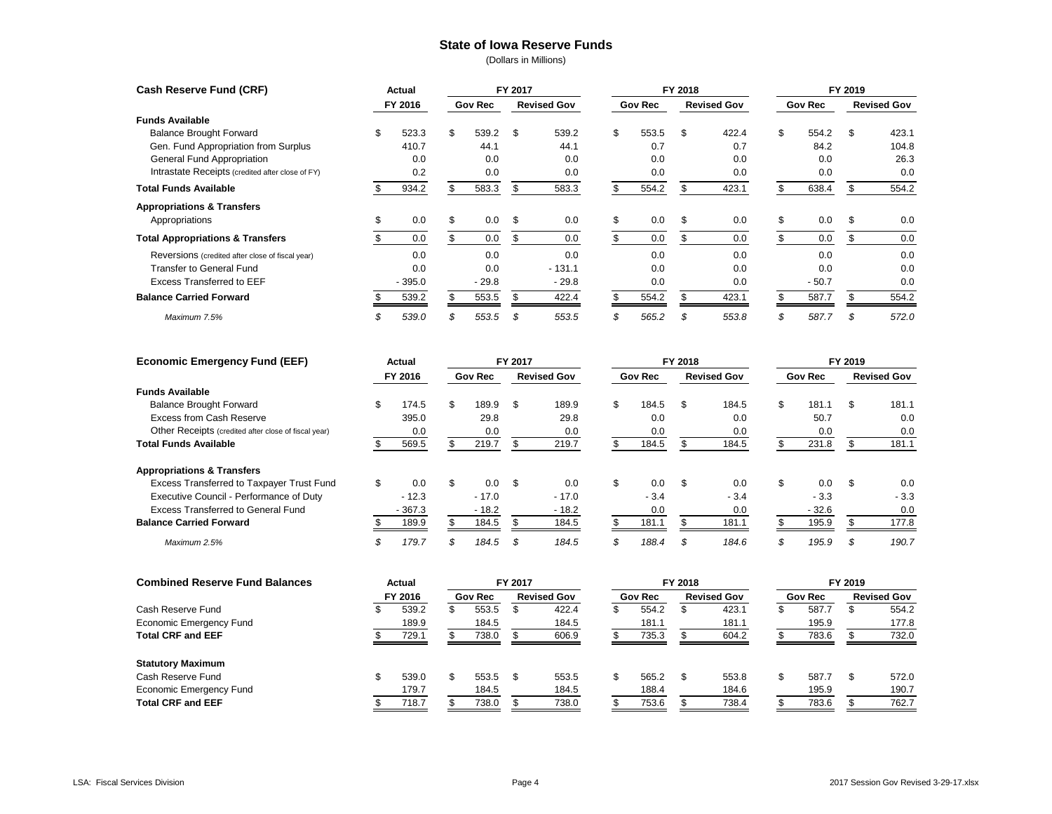#### **State of Iowa Reserve Funds**

| Cash Reserve Fund (CRF)                          |    | Actual   |    |                | FY 2017 |                    |                |       | FY 2018            |       | FY 2019        |         |                    |       |  |
|--------------------------------------------------|----|----------|----|----------------|---------|--------------------|----------------|-------|--------------------|-------|----------------|---------|--------------------|-------|--|
|                                                  |    | FY 2016  |    | <b>Gov Rec</b> |         | <b>Revised Gov</b> | <b>Gov Rec</b> |       | <b>Revised Gov</b> |       | <b>Gov Rec</b> |         | <b>Revised Gov</b> |       |  |
| <b>Funds Available</b>                           |    |          |    |                |         |                    |                |       |                    |       |                |         |                    |       |  |
| <b>Balance Brought Forward</b>                   | \$ | 523.3    | \$ | 539.2          | - \$    | 539.2              | \$             | 553.5 | \$.                | 422.4 | \$             | 554.2   | \$                 | 423.1 |  |
| Gen. Fund Appropriation from Surplus             |    | 410.7    |    | 44.1           |         | 44.1               |                | 0.7   |                    | 0.7   |                | 84.2    |                    | 104.8 |  |
| General Fund Appropriation                       |    | 0.0      |    | 0.0            |         | 0.0                |                | 0.0   |                    | 0.0   |                | 0.0     |                    | 26.3  |  |
| Intrastate Receipts (credited after close of FY) |    | 0.2      |    | 0.0            |         | 0.0                |                | 0.0   |                    | 0.0   |                | 0.0     |                    | 0.0   |  |
| <b>Total Funds Available</b>                     |    | 934.2    |    | 583.3          | \$.     | 583.3              | \$             | 554.2 |                    | 423.1 |                | 638.4   |                    | 554.2 |  |
| <b>Appropriations &amp; Transfers</b>            |    |          |    |                |         |                    |                |       |                    |       |                |         |                    |       |  |
| Appropriations                                   | \$ | 0.0      | \$ | 0.0            | -\$     | 0.0                | \$             | 0.0   | S                  | 0.0   | \$             | 0.0     | \$                 | 0.0   |  |
| <b>Total Appropriations &amp; Transfers</b>      |    | 0.0      | S  | 0.0            | \$      | 0.0                |                | 0.0   |                    | 0.0   |                | 0.0     |                    | 0.0   |  |
| Reversions (credited after close of fiscal year) |    | 0.0      |    | 0.0            |         | 0.0                |                | 0.0   |                    | 0.0   |                | 0.0     |                    | 0.0   |  |
| <b>Transfer to General Fund</b>                  |    | 0.0      |    | 0.0            |         | $-131.1$           |                | 0.0   |                    | 0.0   |                | 0.0     |                    | 0.0   |  |
| <b>Excess Transferred to EEF</b>                 |    | $-395.0$ |    | $-29.8$        |         | $-29.8$            |                | 0.0   |                    | 0.0   |                | $-50.7$ |                    | 0.0   |  |
| <b>Balance Carried Forward</b>                   |    | 539.2    |    | 553.5          |         | 422.4              |                | 554.2 |                    | 423.1 |                | 587.7   |                    | 554.2 |  |
| Maximum 7.5%                                     |    | 539.0    |    | 553.5          | \$      | 553.5              | S              | 565.2 |                    | 553.8 | S              | 587.7   |                    | 572.0 |  |

| <b>Economic Emergency Fund (EEF)</b>                 | Actual<br>FY 2016 |          |                | FY 2017 |                    |    |                | FY 2018 |                    | FY 2019 |                |     |                    |  |
|------------------------------------------------------|-------------------|----------|----------------|---------|--------------------|----|----------------|---------|--------------------|---------|----------------|-----|--------------------|--|
|                                                      |                   |          | <b>Gov Rec</b> |         | <b>Revised Gov</b> |    | <b>Gov Rec</b> |         | <b>Revised Gov</b> |         | <b>Gov Rec</b> |     | <b>Revised Gov</b> |  |
| <b>Funds Available</b>                               |                   |          |                |         |                    |    |                |         |                    |         |                |     |                    |  |
| <b>Balance Brought Forward</b>                       |                   | 174.5    | \$<br>189.9    | \$      | 189.9              | \$ | 184.5          | \$      | 184.5              | \$      | 181.1          | \$. | 181.1              |  |
| Excess from Cash Reserve                             |                   | 395.0    | 29.8           |         | 29.8               |    | 0.0            |         | 0.0                |         | 50.7           |     | 0.0                |  |
| Other Receipts (credited after close of fiscal year) |                   | 0.0      | 0.0            |         | 0.0                |    | 0.0            |         | 0.0                |         | 0.0            |     | 0.0                |  |
| <b>Total Funds Available</b>                         |                   | 569.5    | 219.7          |         | 219.7              |    | 184.5          |         | 184.5              |         | 231.8          |     | 181.1              |  |
| <b>Appropriations &amp; Transfers</b>                |                   |          |                |         |                    |    |                |         |                    |         |                |     |                    |  |
| Excess Transferred to Taxpayer Trust Fund            |                   | 0.0      | \$<br>0.0      | \$      | 0.0                | \$ | 0.0            | \$      | 0.0                | \$      | 0.0            | \$  | 0.0                |  |
| Executive Council - Performance of Duty              |                   | $-12.3$  | $-17.0$        |         | $-17.0$            |    | $-3.4$         |         | $-3.4$             |         | $-3.3$         |     | $-3.3$             |  |
| Excess Transferred to General Fund                   |                   | $-367.3$ | $-18.2$        |         | $-18.2$            |    | 0.0            |         | 0.0                |         | $-32.6$        |     | 0.0                |  |
| <b>Balance Carried Forward</b>                       |                   | 189.9    | 184.5          |         | 184.5              |    | 181.1          |         | 181.1              |         | 195.9          |     | 177.8              |  |
| Maximum 2.5%                                         |                   | 179.7    | \$<br>184.5    | \$      | 184.5              |    | 188.4          | \$      | 184.6              |         | 195.9          | S   | 190.7              |  |

| <b>Combined Reserve Fund Balances</b> |         | Actual |                |       | FY 2017            |       |                |       | FY 2018            |       | FY 2019        |       |                    |       |  |
|---------------------------------------|---------|--------|----------------|-------|--------------------|-------|----------------|-------|--------------------|-------|----------------|-------|--------------------|-------|--|
|                                       | FY 2016 |        | <b>Gov Rec</b> |       | <b>Revised Gov</b> |       | <b>Gov Rec</b> |       | <b>Revised Gov</b> |       | <b>Gov Rec</b> |       | <b>Revised Gov</b> |       |  |
| Cash Reserve Fund                     |         | 539.2  |                | 553.5 |                    | 422.4 |                | 554.2 |                    | 423.1 |                | 587.7 |                    | 554.2 |  |
| Economic Emergency Fund               |         | 189.9  |                | 184.5 |                    | 184.5 |                | 181.1 |                    | 181.1 |                | 195.9 |                    | 177.8 |  |
| <b>Total CRF and EEF</b>              |         | 729.1  |                | 738.0 |                    | 606.9 |                | 735.3 |                    | 604.2 |                | 783.6 |                    | 732.0 |  |
| <b>Statutory Maximum</b>              |         |        |                |       |                    |       |                |       |                    |       |                |       |                    |       |  |
| Cash Reserve Fund                     |         | 539.0  |                | 553.5 |                    | 553.5 | \$.            | 565.2 | S.                 | 553.8 |                | 587.7 |                    | 572.0 |  |
| <b>Economic Emergency Fund</b>        |         | 179.7  |                | 184.5 |                    | 184.5 |                | 188.4 |                    | 184.6 |                | 195.9 |                    | 190.7 |  |
| <b>Total CRF and EEF</b>              |         | 718.7  |                | 738.0 |                    | 738.0 |                | 753.6 |                    | 738.4 |                | 783.6 |                    | 762.7 |  |